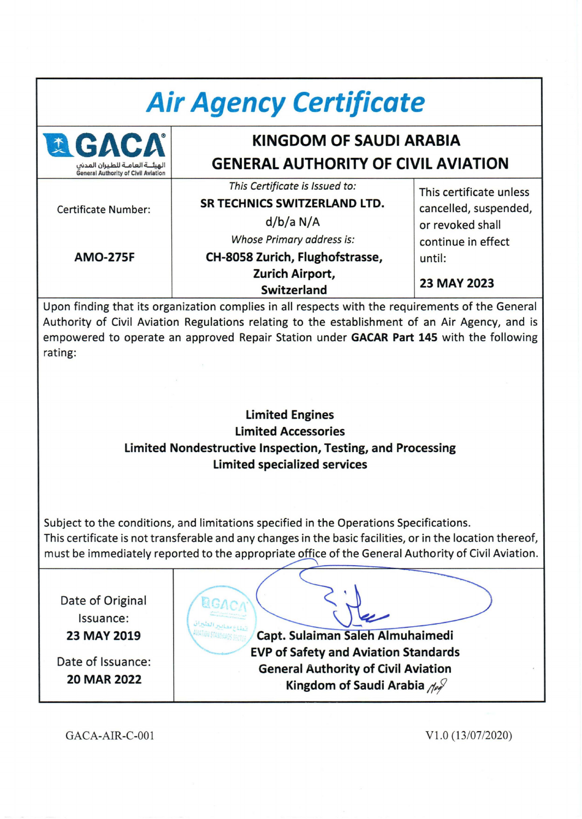| <b>Air Agency Certificate</b>                                                                                                                                                                                                                                                                                                                                    |                                                                                                                                                                                             |                                                                                                                            |  |
|------------------------------------------------------------------------------------------------------------------------------------------------------------------------------------------------------------------------------------------------------------------------------------------------------------------------------------------------------------------|---------------------------------------------------------------------------------------------------------------------------------------------------------------------------------------------|----------------------------------------------------------------------------------------------------------------------------|--|
| <b>GA</b>                                                                                                                                                                                                                                                                                                                                                        | KINGDOM OF SAUDI ARABIA                                                                                                                                                                     |                                                                                                                            |  |
| المشنة العامنة للطبران المدش                                                                                                                                                                                                                                                                                                                                     | <b>GENERAL AUTHORITY OF CIVIL AVIATION</b>                                                                                                                                                  |                                                                                                                            |  |
| <b>General Authority of Civil Aviation</b><br><b>Certificate Number:</b><br><b>AMO-275F</b>                                                                                                                                                                                                                                                                      | This Certificate is Issued to:<br><b>SR TECHNICS SWITZERLAND LTD.</b><br>d/b/a N/A<br>Whose Primary address is:<br>CH-8058 Zurich, Flughofstrasse,<br>Zurich Airport,<br><b>Switzerland</b> | This certificate unless<br>cancelled, suspended,<br>or revoked shall<br>continue in effect<br>until:<br><b>23 MAY 2023</b> |  |
| Upon finding that its organization complies in all respects with the requirements of the General<br>Authority of Civil Aviation Regulations relating to the establishment of an Air Agency, and is<br>empowered to operate an approved Repair Station under GACAR Part 145 with the following<br>rating:<br><b>Limited Engines</b><br><b>Limited Accessories</b> |                                                                                                                                                                                             |                                                                                                                            |  |
| Limited Nondestructive Inspection, Testing, and Processing<br>Limited specialized services                                                                                                                                                                                                                                                                       |                                                                                                                                                                                             |                                                                                                                            |  |
| Subject to the conditions, and limitations specified in the Operations Specifications.<br>This certificate is not transferable and any changes in the basic facilities, or in the location thereof,<br>must be immediately reported to the appropriate office of the General Authority of Civil Aviation.                                                        |                                                                                                                                                                                             |                                                                                                                            |  |
| Date of Original<br>Issuance:<br>W STANDARD<br>Capt. Sulaiman Saleh Almuhaimedi<br>23 MAY 2019<br><b>EVP of Safety and Aviation Standards</b><br>Date of Issuance:<br><b>General Authority of Civil Aviation</b><br><b>20 MAR 2022</b><br>Kingdom of Saudi Arabia 108                                                                                            |                                                                                                                                                                                             |                                                                                                                            |  |

GACA-AIR-C-001

Vl.O (13/07/2020)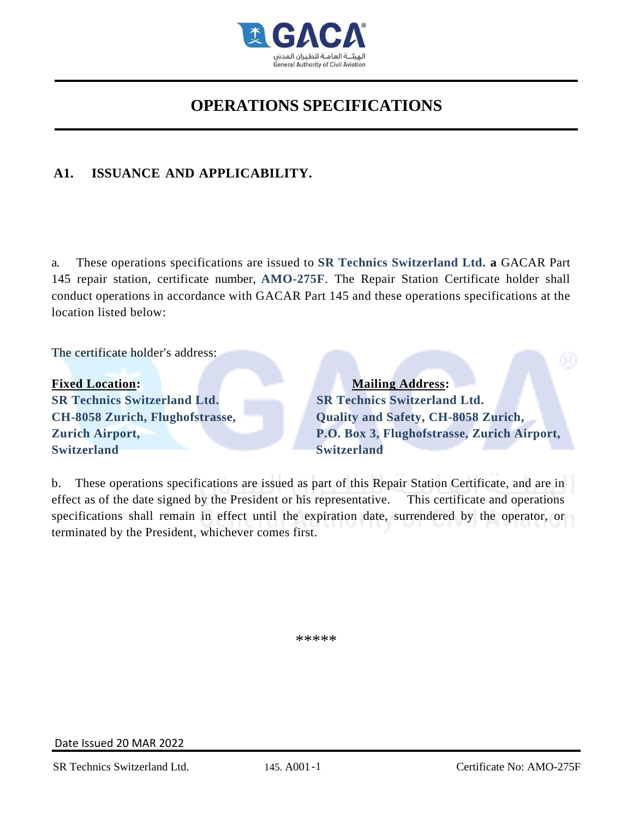

### **A1. ISSUANCE AND APPLICABILITY.**

a. These operations specifications are issued to **SR Technics Switzerland Ltd. a** GACAR Part 145 repair station, certificate number, **AMO-275F**. The Repair Station Certificate holder shall conduct operations in accordance with GACAR Part 145 and these operations specifications at the location listed below:

The certificate holder's address:

**Fixed Location:** Mailing Address: **SR Technics Switzerland Ltd. SR Technics Switzerland Ltd. CH-8058 Zurich, Flughofstrasse, Quality and Safety, CH-8058 Zurich, Switzerland Switzerland**

**Zurich Airport, P.O. Box 3, Flughofstrasse, Zurich Airport,**

b. These operations specifications are issued as part of this Repair Station Certificate, and are in effect as of the date signed by the President or his representative. This certificate and operations specifications shall remain in effect until the expiration date, surrendered by the operator, or terminated by the President, whichever comes first.

\*\*\*\*\*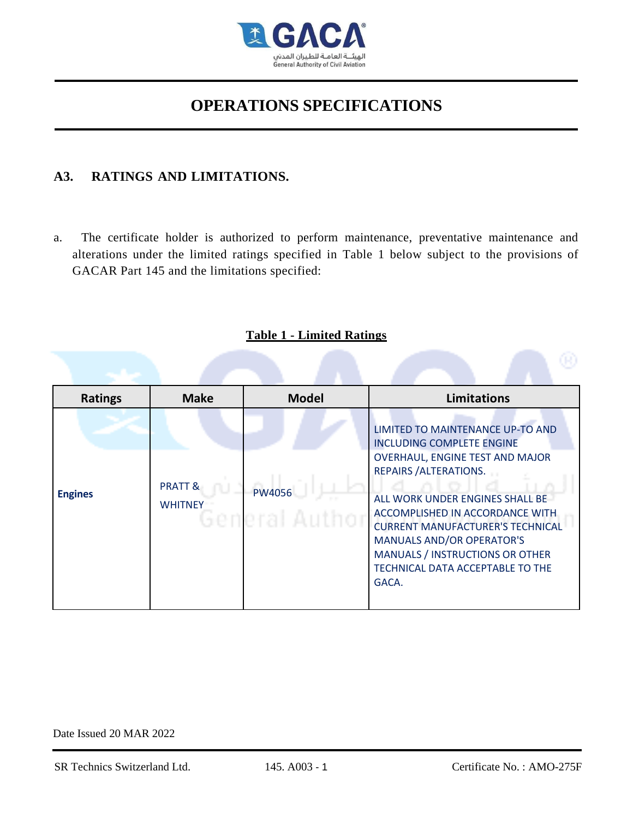

### **A3. RATINGS AND LIMITATIONS.**

a. The certificate holder is authorized to perform maintenance, preventative maintenance and alterations under the limited ratings specified in Table 1 below subject to the provisions of GACAR Part 145 and the limitations specified:

| <b>Ratings</b> | <b>Make</b>                          | <b>Model</b>             | <b>Limitations</b>                                                                                                                                                                                                                                                                                                                                                            |
|----------------|--------------------------------------|--------------------------|-------------------------------------------------------------------------------------------------------------------------------------------------------------------------------------------------------------------------------------------------------------------------------------------------------------------------------------------------------------------------------|
| <b>Engines</b> | <b>PRATT &amp;</b><br><b>WHITNEY</b> | PW4056<br>General Author | LIMITED TO MAINTENANCE UP-TO AND<br><b>INCLUDING COMPLETE ENGINE</b><br>OVERHAUL, ENGINE TEST AND MAJOR<br><b>REPAIRS / ALTERATIONS.</b><br>ALL WORK UNDER ENGINES SHALL BE<br>ACCOMPLISHED IN ACCORDANCE WITH<br><b>CURRENT MANUFACTURER'S TECHNICAL</b><br><b>MANUALS AND/OR OPERATOR'S</b><br>MANUALS / INSTRUCTIONS OR OTHER<br>TECHNICAL DATA ACCEPTABLE TO THE<br>GACA. |

### **Table 1 - Limited Ratings**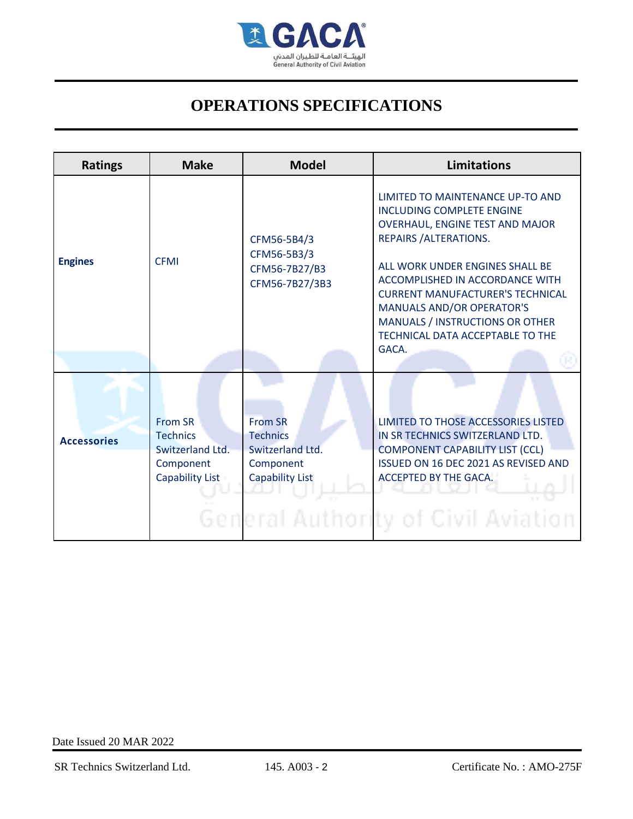

| <b>Ratings</b>     | <b>Make</b>                                                                                  | <b>Model</b>                                                                          | <b>Limitations</b>                                                                                                                                                                                                                                                                                                                                                     |
|--------------------|----------------------------------------------------------------------------------------------|---------------------------------------------------------------------------------------|------------------------------------------------------------------------------------------------------------------------------------------------------------------------------------------------------------------------------------------------------------------------------------------------------------------------------------------------------------------------|
| <b>Engines</b>     | <b>CFMI</b>                                                                                  | CFM56-5B4/3<br>CFM56-5B3/3<br>CFM56-7B27/B3<br>CFM56-7B27/3B3                         | LIMITED TO MAINTENANCE UP-TO AND<br><b>INCLUDING COMPLETE ENGINE</b><br>OVERHAUL, ENGINE TEST AND MAJOR<br>REPAIRS / ALTERATIONS.<br>ALL WORK UNDER ENGINES SHALL BE<br>ACCOMPLISHED IN ACCORDANCE WITH<br><b>CURRENT MANUFACTURER'S TECHNICAL</b><br><b>MANUALS AND/OR OPERATOR'S</b><br>MANUALS / INSTRUCTIONS OR OTHER<br>TECHNICAL DATA ACCEPTABLE TO THE<br>GACA. |
| <b>Accessories</b> | <b>From SR</b><br><b>Technics</b><br>Switzerland Ltd.<br>Component<br><b>Capability List</b> | <b>From SR</b><br><b>Technics</b><br>Switzerland Ltd.<br>Component<br>Capability List | LIMITED TO THOSE ACCESSORIES LISTED<br>IN SR TECHNICS SWITZERLAND LTD.<br><b>COMPONENT CAPABILITY LIST (CCL)</b><br><b>ISSUED ON 16 DEC 2021 AS REVISED AND</b><br>ACCEPTED BY THE GACA!<br>General Authority of Civil Aviation                                                                                                                                        |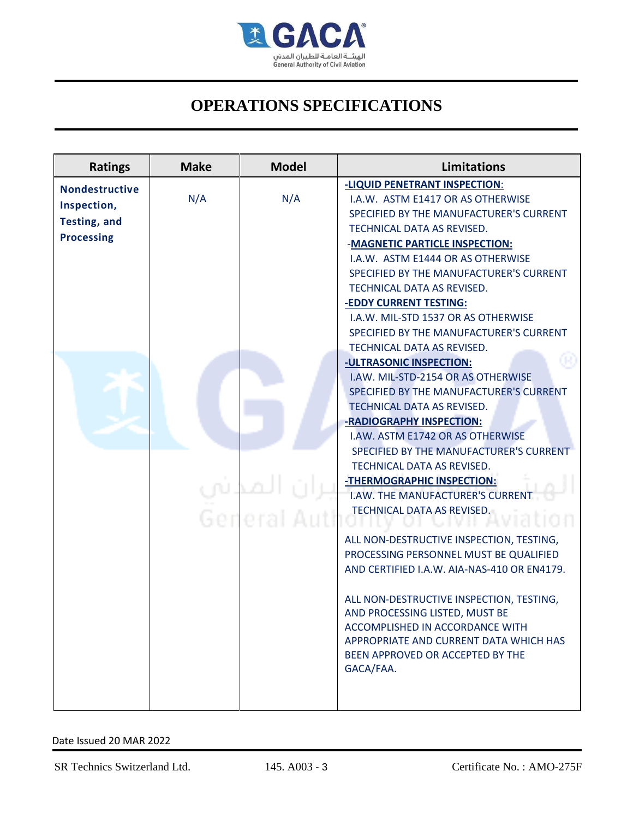

| <b>Ratings</b>                                                                   | <b>Make</b> | <b>Model</b>      | <b>Limitations</b>                                                                                                                                                                                                                                                                                                                                                                                                                                                                                                                                                                                                                                                                                                                                                                                                                                                                                                                                                                                                                                                                                                                                                        |
|----------------------------------------------------------------------------------|-------------|-------------------|---------------------------------------------------------------------------------------------------------------------------------------------------------------------------------------------------------------------------------------------------------------------------------------------------------------------------------------------------------------------------------------------------------------------------------------------------------------------------------------------------------------------------------------------------------------------------------------------------------------------------------------------------------------------------------------------------------------------------------------------------------------------------------------------------------------------------------------------------------------------------------------------------------------------------------------------------------------------------------------------------------------------------------------------------------------------------------------------------------------------------------------------------------------------------|
| <b>Nondestructive</b><br>Inspection,<br><b>Testing, and</b><br><b>Processing</b> | N/A         | N/A<br>Gerieral A | -LIQUID PENETRANT INSPECTION:<br>I.A.W. ASTM E1417 OR AS OTHERWISE<br>SPECIFIED BY THE MANUFACTURER'S CURRENT<br>TECHNICAL DATA AS REVISED.<br>-MAGNETIC PARTICLE INSPECTION:<br>I.A.W. ASTM E1444 OR AS OTHERWISE<br>SPECIFIED BY THE MANUFACTURER'S CURRENT<br>TECHNICAL DATA AS REVISED.<br>-EDDY CURRENT TESTING:<br>I.A.W. MIL-STD 1537 OR AS OTHERWISE<br>SPECIFIED BY THE MANUFACTURER'S CURRENT<br>TECHNICAL DATA AS REVISED.<br>-ULTRASONIC INSPECTION:<br>I.AW. MIL-STD-2154 OR AS OTHERWISE<br>SPECIFIED BY THE MANUFACTURER'S CURRENT<br>TECHNICAL DATA AS REVISED.<br>-RADIOGRAPHY INSPECTION:<br>I.AW. ASTM E1742 OR AS OTHERWISE<br>SPECIFIED BY THE MANUFACTURER'S CURRENT<br>TECHNICAL DATA AS REVISED.<br>-THERMOGRAPHIC INSPECTION:<br>I.AW. THE MANUFACTURER'S CURRENT<br>TECHNICAL DATA AS REVISED.<br>ALL NON-DESTRUCTIVE INSPECTION, TESTING,<br>PROCESSING PERSONNEL MUST BE QUALIFIED<br>AND CERTIFIED I.A.W. AIA-NAS-410 OR EN4179.<br>ALL NON-DESTRUCTIVE INSPECTION, TESTING,<br>AND PROCESSING LISTED. MUST BE<br>ACCOMPLISHED IN ACCORDANCE WITH<br>APPROPRIATE AND CURRENT DATA WHICH HAS<br>BEEN APPROVED OR ACCEPTED BY THE<br>GACA/FAA. |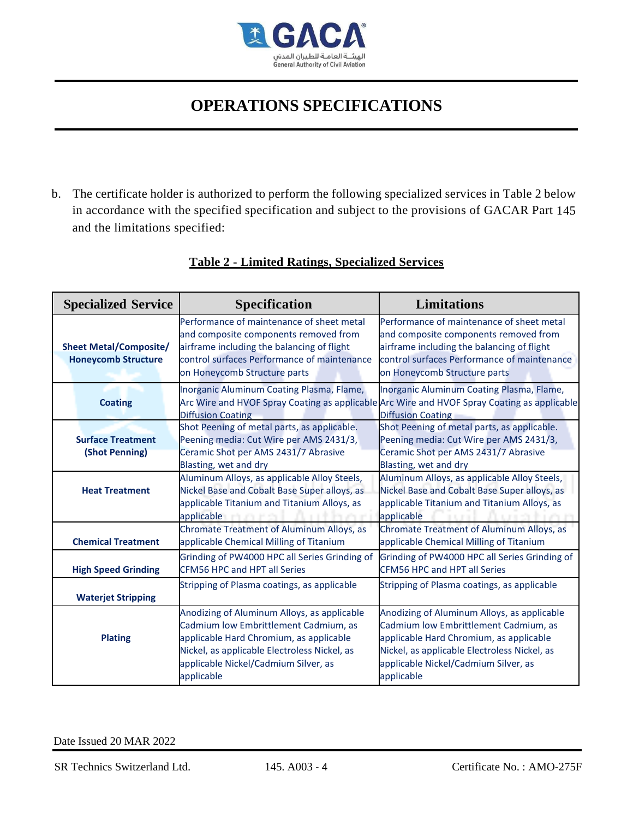

b. The certificate holder is authorized to perform the following specialized services in Table 2 below in accordance with the specified specification and subject to the provisions of GACAR Part 145 and the limitations specified:

| <b>Specialized Service</b>                                  | <b>Specification</b>                                                                                                                                                                                                                  | <b>Limitations</b>                                                                                                                                                                                                                    |
|-------------------------------------------------------------|---------------------------------------------------------------------------------------------------------------------------------------------------------------------------------------------------------------------------------------|---------------------------------------------------------------------------------------------------------------------------------------------------------------------------------------------------------------------------------------|
| <b>Sheet Metal/Composite/</b><br><b>Honeycomb Structure</b> | Performance of maintenance of sheet metal<br>and composite components removed from<br>airframe including the balancing of flight<br>control surfaces Performance of maintenance<br>on Honeycomb Structure parts                       | Performance of maintenance of sheet metal<br>and composite components removed from<br>airframe including the balancing of flight<br>control surfaces Performance of maintenance<br>on Honeycomb Structure parts                       |
| <b>Coating</b>                                              | Inorganic Aluminum Coating Plasma, Flame,<br><b>Diffusion Coating</b>                                                                                                                                                                 | Inorganic Aluminum Coating Plasma, Flame,<br>Arc Wire and HVOF Spray Coating as applicable Arc Wire and HVOF Spray Coating as applicable<br>Diffusion Coating                                                                         |
| <b>Surface Treatment</b><br>(Shot Penning)                  | Shot Peening of metal parts, as applicable.<br>Peening media: Cut Wire per AMS 2431/3,<br>Ceramic Shot per AMS 2431/7 Abrasive<br>Blasting, wet and dry                                                                               | Shot Peening of metal parts, as applicable.<br>Peening media: Cut Wire per AMS 2431/3,<br>Ceramic Shot per AMS 2431/7 Abrasive<br>Blasting, wet and dry                                                                               |
| <b>Heat Treatment</b>                                       | Aluminum Alloys, as applicable Alloy Steels,<br>Nickel Base and Cobalt Base Super alloys, as<br>applicable Titanium and Titanium Alloys, as<br>applicable and a state of the late                                                     | Aluminum Alloys, as applicable Alloy Steels,<br>Nickel Base and Cobalt Base Super alloys, as<br>applicable Titanium and Titanium Alloys, as<br>applicable<br>d'introdu Automobile                                                     |
| <b>Chemical Treatment</b>                                   | Chromate Treatment of Aluminum Alloys, as<br>applicable Chemical Milling of Titanium                                                                                                                                                  | Chromate Treatment of Aluminum Alloys, as<br>applicable Chemical Milling of Titanium                                                                                                                                                  |
| <b>High Speed Grinding</b>                                  | Grinding of PW4000 HPC all Series Grinding of<br>CFM56 HPC and HPT all Series                                                                                                                                                         | Grinding of PW4000 HPC all Series Grinding of<br><b>CFM56 HPC and HPT all Series</b>                                                                                                                                                  |
| <b>Waterjet Stripping</b>                                   | Stripping of Plasma coatings, as applicable                                                                                                                                                                                           | Stripping of Plasma coatings, as applicable                                                                                                                                                                                           |
| <b>Plating</b>                                              | Anodizing of Aluminum Alloys, as applicable<br>Cadmium low Embrittlement Cadmium, as<br>applicable Hard Chromium, as applicable<br>Nickel, as applicable Electroless Nickel, as<br>applicable Nickel/Cadmium Silver, as<br>applicable | Anodizing of Aluminum Alloys, as applicable<br>Cadmium low Embrittlement Cadmium, as<br>applicable Hard Chromium, as applicable<br>Nickel, as applicable Electroless Nickel, as<br>applicable Nickel/Cadmium Silver, as<br>applicable |

### **Table 2 - Limited Ratings, Specialized Services**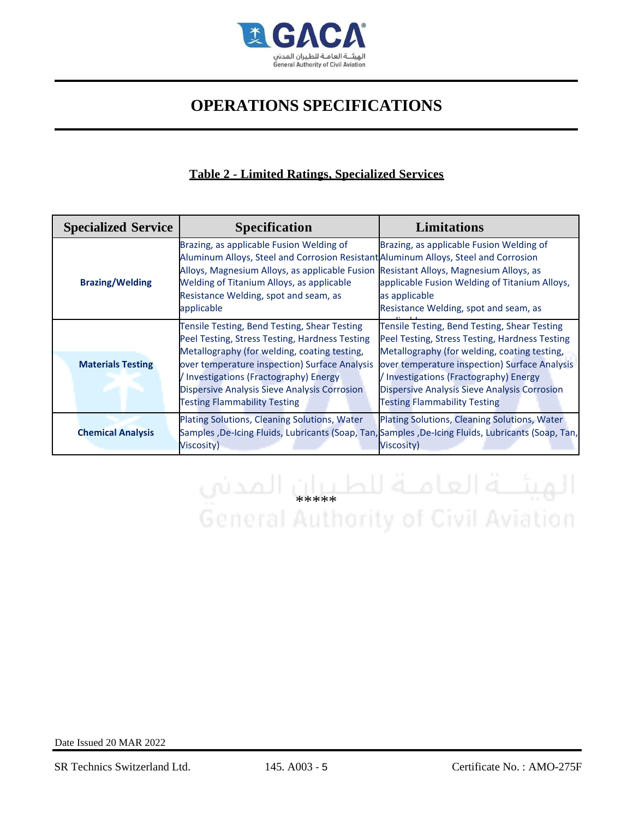

### **Table 2 - Limited Ratings, Specialized Services**

| <b>Specialized Service</b> | <b>Specification</b>                                                                                                                                                                                                                                                                                                             | <b>Limitations</b>                                                                                                                                                                                                                                                                                                               |
|----------------------------|----------------------------------------------------------------------------------------------------------------------------------------------------------------------------------------------------------------------------------------------------------------------------------------------------------------------------------|----------------------------------------------------------------------------------------------------------------------------------------------------------------------------------------------------------------------------------------------------------------------------------------------------------------------------------|
| <b>Brazing/Welding</b>     | Brazing, as applicable Fusion Welding of<br>Aluminum Alloys, Steel and Corrosion Resistant Aluminum Alloys, Steel and Corrosion<br>Alloys, Magnesium Alloys, as applicable Fusion Resistant Alloys, Magnesium Alloys, as<br>Welding of Titanium Alloys, as applicable<br>Resistance Welding, spot and seam, as<br>applicable     | Brazing, as applicable Fusion Welding of<br>applicable Fusion Welding of Titanium Alloys,<br>as applicable<br>Resistance Welding, spot and seam, as                                                                                                                                                                              |
| <b>Materials Testing</b>   | Tensile Testing, Bend Testing, Shear Testing<br>Peel Testing, Stress Testing, Hardness Testing<br>Metallography (for welding, coating testing,<br>over temperature inspection) Surface Analysis<br>/ Investigations (Fractography) Energy<br>Dispersive Analysis Sieve Analysis Corrosion<br><b>Testing Flammability Testing</b> | Tensile Testing, Bend Testing, Shear Testing<br>Peel Testing, Stress Testing, Hardness Testing<br>Metallography (for welding, coating testing,<br>over temperature inspection) Surface Analysis<br>/ Investigations (Fractography) Energy<br>Dispersive Analysis Sieve Analysis Corrosion<br><b>Testing Flammability Testing</b> |
| <b>Chemical Analysis</b>   | Plating Solutions, Cleaning Solutions, Water<br>Samples , De-Icing Fluids, Lubricants (Soap, Tan, Samples , De-Icing Fluids, Lubricants (Soap, Tan,<br><b>Viscosity</b> )                                                                                                                                                        | Plating Solutions, Cleaning Solutions, Water<br><b>Viscosity)</b>                                                                                                                                                                                                                                                                |

# الهيئـــة العامــة للطـيـان المدني<br>General Authority of Civil Aviation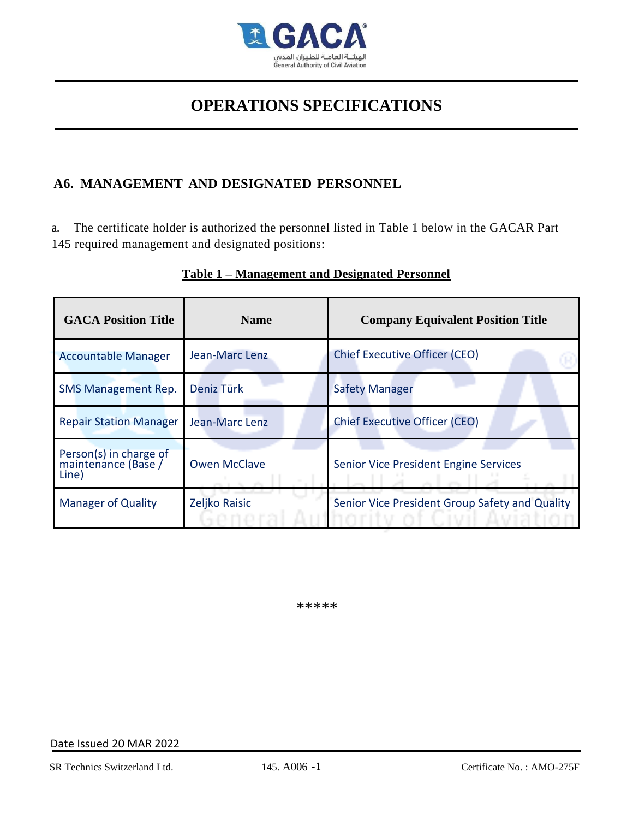

### **A6. MANAGEMENT AND DESIGNATED PERSONNEL**

a. The certificate holder is authorized the personnel listed in Table 1 below in the GACAR Part 145 required management and designated positions:

| <b>GACA Position Title</b>                             | <b>Name</b>         | <b>Company Equivalent Position Title</b>       |
|--------------------------------------------------------|---------------------|------------------------------------------------|
| <b>Accountable Manager</b>                             | Jean-Marc Lenz      | <b>Chief Executive Officer (CEO)</b>           |
| <b>SMS Management Rep.</b>                             | Deniz Türk          | <b>Safety Manager</b>                          |
| <b>Repair Station Manager</b>                          | Jean-Marc Lenz      | <b>Chief Executive Officer (CEO)</b>           |
| Person(s) in charge of<br>maintenance (Base /<br>Line) | <b>Owen McClave</b> | Senior Vice President Engine Services          |
| <b>Manager of Quality</b>                              | Zeljko Raisic       | Senior Vice President Group Safety and Quality |

### **Table 1 – Management and Designated Personnel**

*\*\*\*\*\**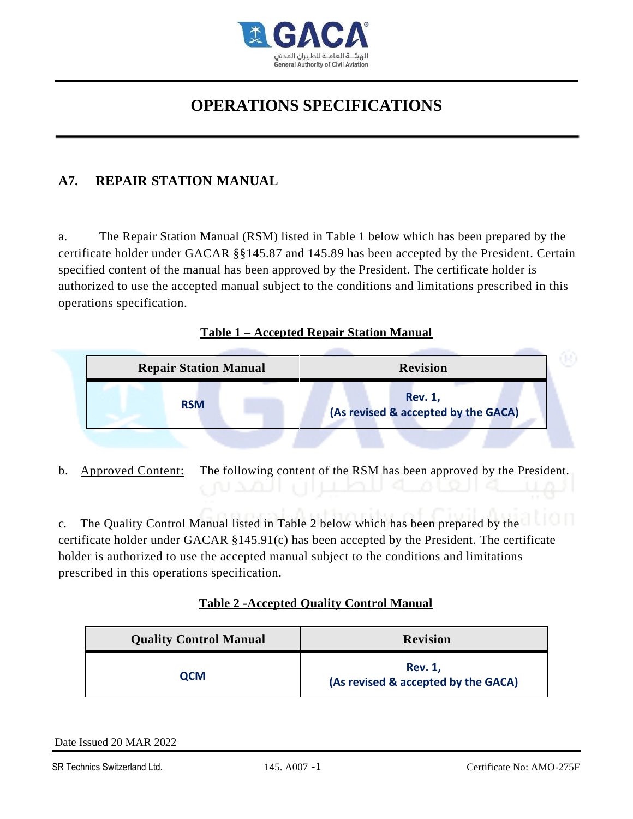

### **A7. REPAIR STATION MANUAL**

a. The Repair Station Manual (RSM) listed in Table 1 below which has been prepared by the certificate holder under GACAR §§145.87 and 145.89 has been accepted by the President. Certain specified content of the manual has been approved by the President. The certificate holder is authorized to use the accepted manual subject to the conditions and limitations prescribed in this operations specification.

### **Table 1 – Accepted Repair Station Manual**

| <b>Repair Station Manual</b> | <b>Revision</b>                                       |
|------------------------------|-------------------------------------------------------|
| <b>RSM</b>                   | <b>Rev. 1,</b><br>(As revised & accepted by the GACA) |

b. Approved Content: The following content of the RSM has been approved by the President.

c. The Quality Control Manual listed in Table 2 below which has been prepared by the certificate holder under GACAR §145.91(c) has been accepted by the President. The certificate holder is authorized to use the accepted manual subject to the conditions and limitations prescribed in this operations specification.

### **Table 2 -Accepted Quality Control Manual**

| <b>Quality Control Manual</b> | <b>Revision</b>                                       |
|-------------------------------|-------------------------------------------------------|
| ОСМ                           | <b>Rev. 1,</b><br>(As revised & accepted by the GACA) |